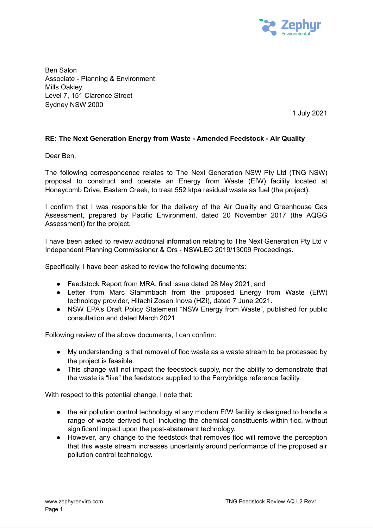

Ben Salon Associate - Planning & Environment Mills Oakley Level 7, 151 Clarence Street Sydney NSW 2000

1 July 2021

## **RE: The Next Generation Energy from Waste - Amended Feedstock - Air Quality**

Dear Ben,

The following correspondence relates to The Next Generation NSW Pty Ltd (TNG NSW) proposal to construct and operate an Energy from Waste (EfW) facility located at Honeycomb Drive, Eastern Creek, to treat 552 ktpa residual waste as fuel (the project).

I confirm that I was responsible for the delivery of the Air Quality and Greenhouse Gas Assessment, prepared by Pacific Environment, dated 20 November 2017 (the AQGG Assessment) for the project.

I have been asked to review additional information relating to The Next Generation Pty Ltd v Independent Planning Commissioner & Ors - NSWLEC 2019/13009 Proceedings.

Specifically, I have been asked to review the following documents:

- Feedstock Report from MRA, final issue dated 28 May 2021; and
- Letter from Marc Stammbach from the proposed Energy from Waste (EfW) technology provider, Hitachi Zosen Inova (HZI), dated 7 June 2021.
- NSW EPA's Draft Policy Statement "NSW Energy from Waste", published for public consultation and dated March 2021.

Following review of the above documents, I can confirm:

- My understanding is that removal of floc waste as a waste stream to be processed by the project is feasible.
- This change will not impact the feedstock supply, nor the ability to demonstrate that the waste is "like" the feedstock supplied to the Ferrybridge reference facility.

With respect to this potential change, I note that:

- the air pollution control technology at any modern EfW facility is designed to handle a range of waste derived fuel, including the chemical constituents within floc, without significant impact upon the post-abatement technology.
- However, any change to the feedstock that removes floc will remove the perception that this waste stream increases uncertainty around performance of the proposed air pollution control technology.